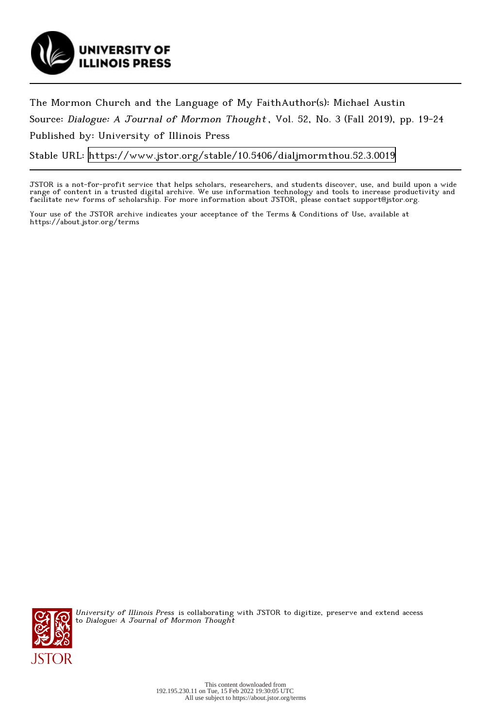

The Mormon Church and the Language of My FaithAuthor(s): Michael Austin Source: Dialogue: A Journal of Mormon Thought , Vol. 52, No. 3 (Fall 2019), pp. 19-24 Published by: University of Illinois Press

Stable URL:<https://www.jstor.org/stable/10.5406/dialjmormthou.52.3.0019>

JSTOR is a not-for-profit service that helps scholars, researchers, and students discover, use, and build upon a wide range of content in a trusted digital archive. We use information technology and tools to increase productivity and facilitate new forms of scholarship. For more information about JSTOR, please contact support@jstor.org.

Your use of the JSTOR archive indicates your acceptance of the Terms & Conditions of Use, available at https://about.jstor.org/terms



University of Illinois Press is collaborating with JSTOR to digitize, preserve and extend access to Dialogue: A Journal of Mormon Thought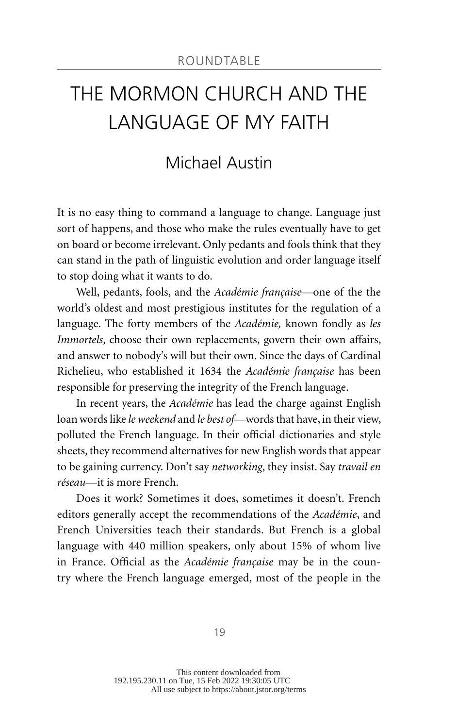## [THE MORMON CHURCH AND THE](#page--1-0)  [LANGUAGE OF MY FAITH](#page--1-0)

## [Michael Austin](#page--1-0)

It is no easy thing to command a language to change. Language just sort of happens, and those who make the rules eventually have to get on board or become irrelevant. Only pedants and fools think that they can stand in the path of linguistic evolution and order language itself to stop doing what it wants to do.

Well, pedants, fools, and the *Académie française*—one of the the world's oldest and most prestigious institutes for the regulation of a language. The forty members of the *Académie,* known fondly as *les Immortels*, choose their own replacements, govern their own affairs, and answer to nobody's will but their own. Since the days of Cardinal Richelieu, who established it 1634 the *Académie française* has been responsible for preserving the integrity of the French language.

In recent years, the *Académie* has lead the charge against English loan words like *le weekend* and *le best of*—words that have, in their view, polluted the French language. In their official dictionaries and style sheets, they recommend alternatives for new English words that appear to be gaining currency. Don't say *networking*, they insist. Say *travail en réseau*—it is more French.

Does it work? Sometimes it does, sometimes it doesn't. French editors generally accept the recommendations of the *Académie*, and French Universities teach their standards. But French is a global language with 440 million speakers, only about 15% of whom live in France. Official as the *Académie française* may be in the country where the French language emerged, most of the people in the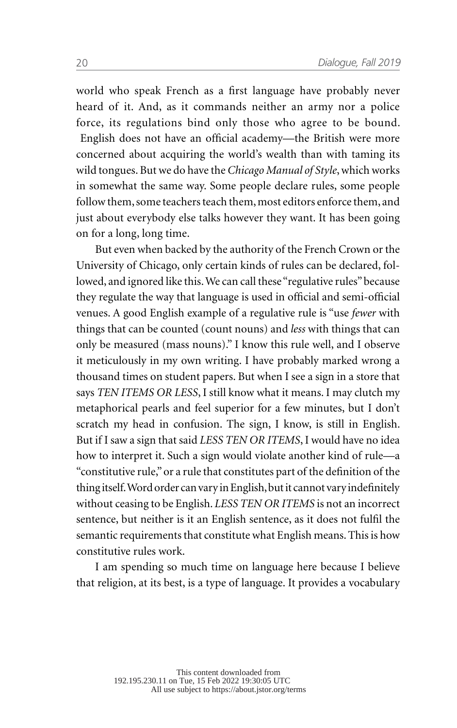world who speak French as a first language have probably never heard of it. And, as it commands neither an army nor a police force, its regulations bind only those who agree to be bound. English does not have an official academy—the British were more concerned about acquiring the world's wealth than with taming its wild tongues. But we do have the *Chicago Manual of Style*, which works in somewhat the same way. Some people declare rules, some people follow them, some teachers teach them, most editors enforce them, and just about everybody else talks however they want. It has been going on for a long, long time.

But even when backed by the authority of the French Crown or the University of Chicago, only certain kinds of rules can be declared, followed, and ignored like this. We can call these "regulative rules" because they regulate the way that language is used in official and semi-official venues. A good English example of a regulative rule is "use *fewer* with things that can be counted (count nouns) and *less* with things that can only be measured (mass nouns)." I know this rule well, and I observe it meticulously in my own writing. I have probably marked wrong a thousand times on student papers. But when I see a sign in a store that says *TEN ITEMS OR LESS*, I still know what it means. I may clutch my metaphorical pearls and feel superior for a few minutes, but I don't scratch my head in confusion. The sign, I know, is still in English. But if I saw a sign that said *LESS TEN OR ITEMS*, I would have no idea how to interpret it. Such a sign would violate another kind of rule—a "constitutive rule," or a rule that constitutes part of the definition of the thing itself. Word order can vary in English, but it cannot vary indefinitely without ceasing to be English. *LESS TEN OR ITEMS* is not an incorrect sentence, but neither is it an English sentence, as it does not fulfil the semantic requirements that constitute what English means. This is how constitutive rules work.

I am spending so much time on language here because I believe that religion, at its best, is a type of language. It provides a vocabulary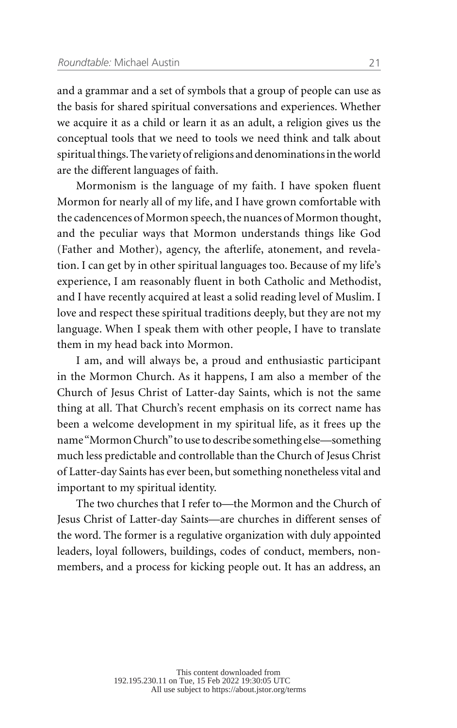and a grammar and a set of symbols that a group of people can use as the basis for shared spiritual conversations and experiences. Whether we acquire it as a child or learn it as an adult, a religion gives us the conceptual tools that we need to tools we need think and talk about spiritual things. The variety of religions and denominations in the world are the different languages of faith.

Mormonism is the language of my faith. I have spoken fluent Mormon for nearly all of my life, and I have grown comfortable with the cadencences of Mormon speech, the nuances of Mormon thought, and the peculiar ways that Mormon understands things like God (Father and Mother), agency, the afterlife, atonement, and revelation. I can get by in other spiritual languages too. Because of my life's experience, I am reasonably fluent in both Catholic and Methodist, and I have recently acquired at least a solid reading level of Muslim. I love and respect these spiritual traditions deeply, but they are not my language. When I speak them with other people, I have to translate them in my head back into Mormon.

I am, and will always be, a proud and enthusiastic participant in the Mormon Church. As it happens, I am also a member of the Church of Jesus Christ of Latter-day Saints, which is not the same thing at all. That Church's recent emphasis on its correct name has been a welcome development in my spiritual life, as it frees up the name "Mormon Church" to use to describe something else—something much less predictable and controllable than the Church of Jesus Christ of Latter-day Saints has ever been, but something nonetheless vital and important to my spiritual identity.

The two churches that I refer to—the Mormon and the Church of Jesus Christ of Latter-day Saints—are churches in different senses of the word. The former is a regulative organization with duly appointed leaders, loyal followers, buildings, codes of conduct, members, nonmembers, and a process for kicking people out. It has an address, an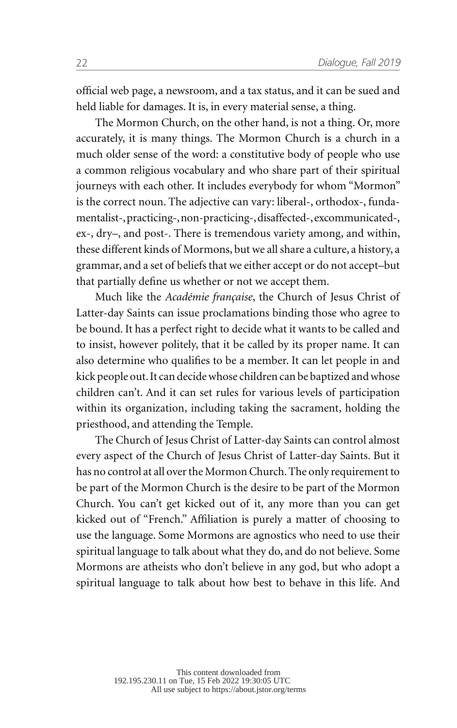official web page, a newsroom, and a tax status, and it can be sued and held liable for damages. It is, in every material sense, a thing.

The Mormon Church, on the other hand, is not a thing. Or, more accurately, it is many things. The Mormon Church is a church in a much older sense of the word: a constitutive body of people who use a common religious vocabulary and who share part of their spiritual journeys with each other. It includes everybody for whom "Mormon" is the correct noun. The adjective can vary: liberal-, orthodox-, fundamentalist-, practicing-, non-practicing-, disaffected-, excommunicated-, ex-, dry–, and post-. There is tremendous variety among, and within, these different kinds of Mormons, but we all share a culture, a history, a grammar, and a set of beliefs that we either accept or do not accept–but that partially define us whether or not we accept them.

Much like the *Académie française*, the Church of Jesus Christ of Latter-day Saints can issue proclamations binding those who agree to be bound. It has a perfect right to decide what it wants to be called and to insist, however politely, that it be called by its proper name. It can also determine who qualifies to be a member. It can let people in and kick people out. It can decide whose children can be baptized and whose children can't. And it can set rules for various levels of participation within its organization, including taking the sacrament, holding the priesthood, and attending the Temple.

The Church of Jesus Christ of Latter-day Saints can control almost every aspect of the Church of Jesus Christ of Latter-day Saints. But it has no control at all over the Mormon Church. The only requirement to be part of the Mormon Church is the desire to be part of the Mormon Church. You can't get kicked out of it, any more than you can get kicked out of "French." Affiliation is purely a matter of choosing to use the language. Some Mormons are agnostics who need to use their spiritual language to talk about what they do, and do not believe. Some Mormons are atheists who don't believe in any god, but who adopt a spiritual language to talk about how best to behave in this life. And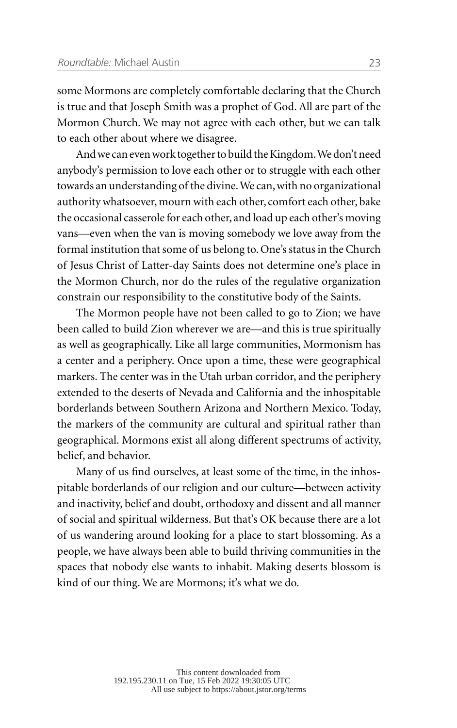some Mormons are completely comfortable declaring that the Church is true and that Joseph Smith was a prophet of God. All are part of the Mormon Church. We may not agree with each other, but we can talk to each other about where we disagree.

And we can even work together to build the Kingdom. We don't need anybody's permission to love each other or to struggle with each other towards an understanding of the divine. We can, with no organizational authority whatsoever, mourn with each other, comfort each other, bake the occasional casserole for each other, and load up each other's moving vans—even when the van is moving somebody we love away from the formal institution that some of us belong to. One's status in the Church of Jesus Christ of Latter-day Saints does not determine one's place in the Mormon Church, nor do the rules of the regulative organization constrain our responsibility to the constitutive body of the Saints.

The Mormon people have not been called to go to Zion; we have been called to build Zion wherever we are—and this is true spiritually as well as geographically. Like all large communities, Mormonism has a center and a periphery. Once upon a time, these were geographical markers. The center was in the Utah urban corridor, and the periphery extended to the deserts of Nevada and California and the inhospitable borderlands between Southern Arizona and Northern Mexico. Today, the markers of the community are cultural and spiritual rather than geographical. Mormons exist all along different spectrums of activity, belief, and behavior.

Many of us find ourselves, at least some of the time, in the inhospitable borderlands of our religion and our culture—between activity and inactivity, belief and doubt, orthodoxy and dissent and all manner of social and spiritual wilderness. But that's OK because there are a lot of us wandering around looking for a place to start blossoming. As a people, we have always been able to build thriving communities in the spaces that nobody else wants to inhabit. Making deserts blossom is kind of our thing. We are Mormons; it's what we do.